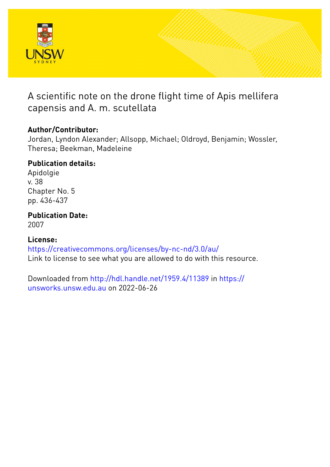

# A scientific note on the drone flight time of Apis mellifera capensis and A. m. scutellata

## **Author/Contributor:**

Jordan, Lyndon Alexander; Allsopp, Michael; Oldroyd, Benjamin; Wossler, Theresa; Beekman, Madeleine

# **Publication details:**

Apidolgie v. 38 Chapter No. 5 pp. 436-437

**Publication Date:**

2007

## **License:**

<https://creativecommons.org/licenses/by-nc-nd/3.0/au/> Link to license to see what you are allowed to do with this resource.

Downloaded from <http://hdl.handle.net/1959.4/11389> in [https://](https://unsworks.unsw.edu.au) [unsworks.unsw.edu.au](https://unsworks.unsw.edu.au) on 2022-06-26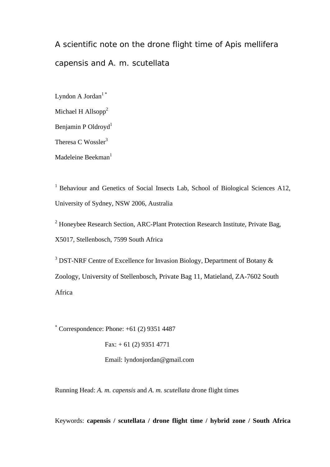A scientific note on the drone flight time of *Apis mellifera capensis* and *A. m. scutellata*

Lyndon A Jordan<sup>1\*</sup> Michael H Allsopp $2$ Benjamin P Oldroyd<sup>1</sup> Theresa C Wossler<sup>3</sup> Madeleine Beekman $<sup>1</sup>$ </sup>

<sup>1</sup> Behaviour and Genetics of Social Insects Lab, School of Biological Sciences A12, University of Sydney, NSW 2006, Australia

<sup>2</sup> Honeybee Research Section, ARC-Plant Protection Research Institute, Private Bag, X5017, Stellenbosch, 7599 South Africa

<sup>3</sup> DST-NRF Centre of Excellence for Invasion Biology, Department of Botany  $\&$ Zoology, University of Stellenbosch, Private Bag 11, Matieland, ZA-7602 South Africa

\* Correspondence: Phone: +61 (2) 9351 4487

Fax:  $+ 61 (2) 9351 4771$ 

Email: lyndonjordan@gmail.com

Running Head: *A. m. capensis* and *A. m. scutellata* drone flight times

Keywords: **capensis / scutellata / drone flight time / hybrid zone / South Africa**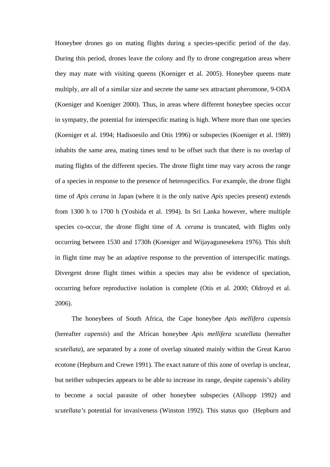Honeybee drones go on mating flights during a species-specific period of the day. During this period, drones leave the colony and fly to drone congregation areas where they may mate with visiting queens (Koeniger et al. 2005). Honeybee queens mate multiply, are all of a similar size and secrete the same sex attractant pheromone, 9-ODA (Koeniger and Koeniger 2000). Thus, in areas where different honeybee species occur in sympatry, the potential for interspecific mating is high. Where more than one species (Koeniger et al. 1994; Hadisoesilo and Otis 1996) or subspecies (Koeniger et al. 1989) inhabits the same area, mating times tend to be offset such that there is no overlap of mating flights of the different species. The drone flight time may vary across the range of a species in response to the presence of heterospecifics. For example, the drone flight time of *Apis cerana* in Japan (where it is the only native *Apis* species present) extends from 1300 h to 1700 h (Yoshida et al. 1994). In Sri Lanka however, where multiple species co-occur, the drone flight time of *A. cerana* is truncated, with flights only occurring between 1530 and 1730h (Koeniger and Wijayagunesekera 1976). This shift in flight time may be an adaptive response to the prevention of interspecific matings. Divergent drone flight times within a species may also be evidence of speciation, occurring before reproductive isolation is complete (Otis et al. 2000; Oldroyd et al. 2006).

The honeybees of South Africa, the Cape honeybee *Apis mellifera capensis* (hereafter *capensis*) and the African honeybee *Apis mellifera scutellata* (hereafter *scutellata*)*,* are separated by a zone of overlap situated mainly within the Great Karoo ecotone (Hepburn and Crewe 1991). The exact nature of this zone of overlap is unclear, but neither subspecies appears to be able to increase its range, despite capensis's ability to become a social parasite of other honeybee subspecies (Allsopp 1992) and *scutellata's* potential for invasiveness (Winston 1992). This status quo (Hepburn and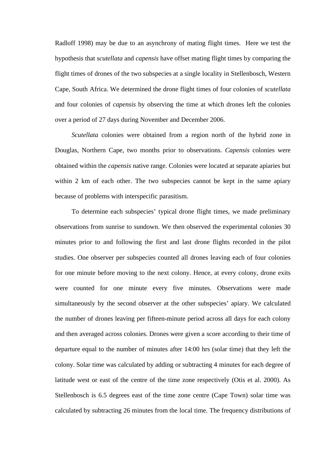Radloff 1998) may be due to an asynchrony of mating flight times. Here we test the hypothesis that *scutellata* and *capensis* have offset mating flight times by comparing the flight times of drones of the two subspecies at a single locality in Stellenbosch, Western Cape, South Africa. We determined the drone flight times of four colonies of *scutellata* and four colonies of *capensis* by observing the time at which drones left the colonies over a period of 27 days during November and December 2006.

*Scutellata* colonies were obtained from a region north of the hybrid zone in Douglas, Northern Cape, two months prior to observations. *Capensis* colonies were obtained within the *capensis* native range. Colonies were located at separate apiaries but within 2 km of each other. The two subspecies cannot be kept in the same apiary because of problems with interspecific parasitism.

To determine each subspecies' typical drone flight times, we made preliminary observations from sunrise to sundown. We then observed the experimental colonies 30 minutes prior to and following the first and last drone flights recorded in the pilot studies. One observer per subspecies counted all drones leaving each of four colonies for one minute before moving to the next colony. Hence, at every colony, drone exits were counted for one minute every five minutes. Observations were made simultaneously by the second observer at the other subspecies' apiary. We calculated the number of drones leaving per fifteen-minute period across all days for each colony and then averaged across colonies. Drones were given a score according to their time of departure equal to the number of minutes after 14:00 hrs (solar time) that they left the colony. Solar time was calculated by adding or subtracting 4 minutes for each degree of latitude west or east of the centre of the time zone respectively (Otis et al. 2000). As Stellenbosch is 6.5 degrees east of the time zone centre (Cape Town) solar time was calculated by subtracting 26 minutes from the local time. The frequency distributions of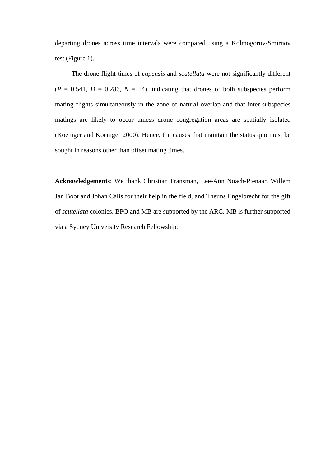departing drones across time intervals were compared using a Kolmogorov-Smirnov test (Figure 1).

The drone flight times of *capensis* and *scutellata* were not significantly different  $(P = 0.541, D = 0.286, N = 14)$ , indicating that drones of both subspecies perform mating flights simultaneously in the zone of natural overlap and that inter-subspecies matings are likely to occur unless drone congregation areas are spatially isolated (Koeniger and Koeniger 2000). Hence, the causes that maintain the status quo must be sought in reasons other than offset mating times.

**Acknowledgements**: We thank Christian Fransman, Lee-Ann Noach-Pienaar, Willem Jan Boot and Johan Calis for their help in the field, and Theuns Engelbrecht for the gift of *scutellata* colonies. BPO and MB are supported by the ARC. MB is further supported via a Sydney University Research Fellowship.